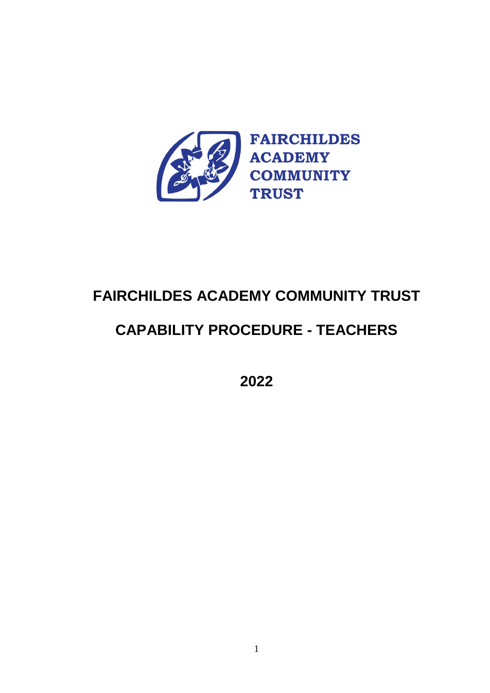

## **FAIRCHILDES ACADEMY COMMUNITY TRUST**

# **CAPABILITY PROCEDURE - TEACHERS**

**2022**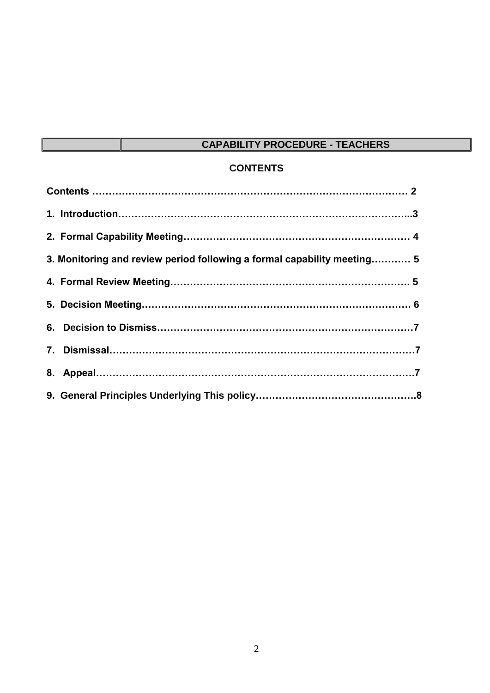## **CAPABILITY PROCEDURE - TEACHERS**

## **CONTENTS**

| 3. Monitoring and review period following a formal capability meeting 5 |  |
|-------------------------------------------------------------------------|--|
|                                                                         |  |
|                                                                         |  |
|                                                                         |  |
|                                                                         |  |
|                                                                         |  |
|                                                                         |  |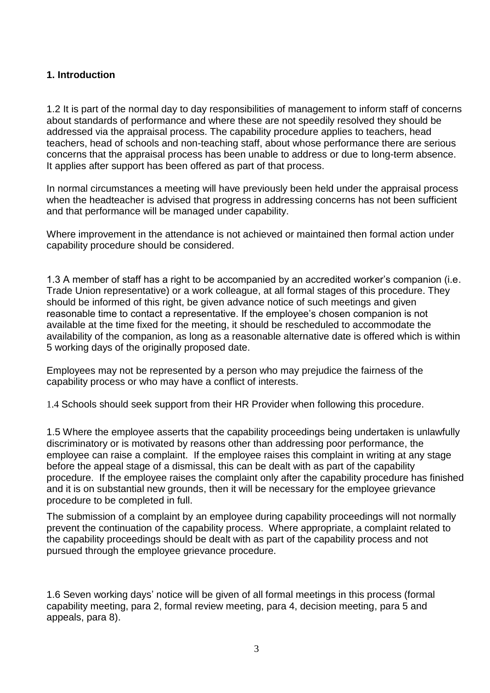## **1. Introduction**

1.2 It is part of the normal day to day responsibilities of management to inform staff of concerns about standards of performance and where these are not speedily resolved they should be addressed via the appraisal process. The capability procedure applies to teachers, head teachers, head of schools and non-teaching staff, about whose performance there are serious concerns that the appraisal process has been unable to address or due to long-term absence. It applies after support has been offered as part of that process.

In normal circumstances a meeting will have previously been held under the appraisal process when the headteacher is advised that progress in addressing concerns has not been sufficient and that performance will be managed under capability.

Where improvement in the attendance is not achieved or maintained then formal action under capability procedure should be considered.

1.3 A member of staff has a right to be accompanied by an accredited worker's companion (i.e. Trade Union representative) or a work colleague, at all formal stages of this procedure. They should be informed of this right, be given advance notice of such meetings and given reasonable time to contact a representative. If the employee's chosen companion is not available at the time fixed for the meeting, it should be rescheduled to accommodate the availability of the companion, as long as a reasonable alternative date is offered which is within 5 working days of the originally proposed date.

Employees may not be represented by a person who may prejudice the fairness of the capability process or who may have a conflict of interests.

1.4 Schools should seek support from their HR Provider when following this procedure.

1.5 Where the employee asserts that the capability proceedings being undertaken is unlawfully discriminatory or is motivated by reasons other than addressing poor performance, the employee can raise a complaint. If the employee raises this complaint in writing at any stage before the appeal stage of a dismissal, this can be dealt with as part of the capability procedure. If the employee raises the complaint only after the capability procedure has finished and it is on substantial new grounds, then it will be necessary for the employee grievance procedure to be completed in full.

The submission of a complaint by an employee during capability proceedings will not normally prevent the continuation of the capability process. Where appropriate, a complaint related to the capability proceedings should be dealt with as part of the capability process and not pursued through the employee grievance procedure.

1.6 Seven working days' notice will be given of all formal meetings in this process (formal capability meeting, para 2, formal review meeting, para 4, decision meeting, para 5 and appeals, para 8).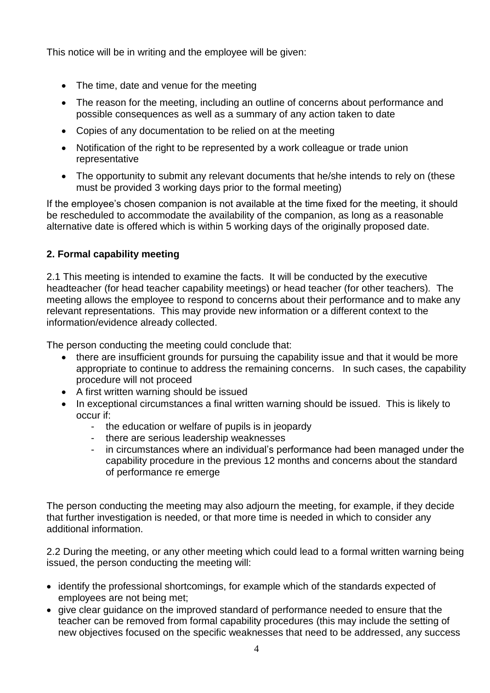This notice will be in writing and the employee will be given:

- The time, date and venue for the meeting
- The reason for the meeting, including an outline of concerns about performance and possible consequences as well as a summary of any action taken to date
- Copies of any documentation to be relied on at the meeting
- Notification of the right to be represented by a work colleague or trade union representative
- The opportunity to submit any relevant documents that he/she intends to rely on (these must be provided 3 working days prior to the formal meeting)

If the employee's chosen companion is not available at the time fixed for the meeting, it should be rescheduled to accommodate the availability of the companion, as long as a reasonable alternative date is offered which is within 5 working days of the originally proposed date.

## **2. Formal capability meeting**

2.1 This meeting is intended to examine the facts. It will be conducted by the executive headteacher (for head teacher capability meetings) or head teacher (for other teachers)*.* The meeting allows the employee to respond to concerns about their performance and to make any relevant representations. This may provide new information or a different context to the information/evidence already collected.

The person conducting the meeting could conclude that:

- there are insufficient grounds for pursuing the capability issue and that it would be more appropriate to continue to address the remaining concerns. In such cases, the capability procedure will not proceed
- A first written warning should be issued
- In exceptional circumstances a final written warning should be issued. This is likely to occur if:
	- the education or welfare of pupils is in jeopardy
	- there are serious leadership weaknesses
	- in circumstances where an individual's performance had been managed under the capability procedure in the previous 12 months and concerns about the standard of performance re emerge

The person conducting the meeting may also adjourn the meeting, for example, if they decide that further investigation is needed, or that more time is needed in which to consider any additional information.

2.2 During the meeting, or any other meeting which could lead to a formal written warning being issued, the person conducting the meeting will:

- identify the professional shortcomings, for example which of the standards expected of employees are not being met;
- give clear guidance on the improved standard of performance needed to ensure that the teacher can be removed from formal capability procedures (this may include the setting of new objectives focused on the specific weaknesses that need to be addressed, any success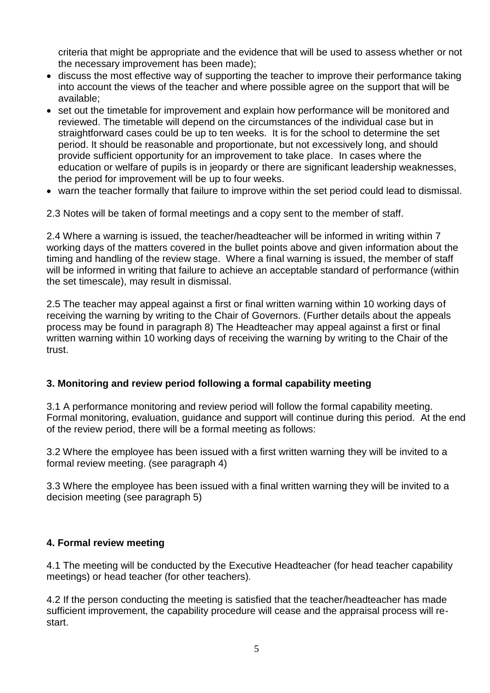criteria that might be appropriate and the evidence that will be used to assess whether or not the necessary improvement has been made);

- discuss the most effective way of supporting the teacher to improve their performance taking into account the views of the teacher and where possible agree on the support that will be available;
- set out the timetable for improvement and explain how performance will be monitored and reviewed. The timetable will depend on the circumstances of the individual case but in straightforward cases could be up to ten weeks.It is for the school to determine the set period. It should be reasonable and proportionate, but not excessively long, and should provide sufficient opportunity for an improvement to take place. In cases where the education or welfare of pupils is in jeopardy or there are significant leadership weaknesses, the period for improvement will be up to four weeks.
- warn the teacher formally that failure to improve within the set period could lead to dismissal.

2.3 Notes will be taken of formal meetings and a copy sent to the member of staff.

2.4 Where a warning is issued, the teacher/headteacher will be informed in writing within 7 working days of the matters covered in the bullet points above and given information about the timing and handling of the review stage. Where a final warning is issued, the member of staff will be informed in writing that failure to achieve an acceptable standard of performance (within the set timescale), may result in dismissal.

2.5 The teacher may appeal against a first or final written warning within 10 working days of receiving the warning by writing to the Chair of Governors. (Further details about the appeals process may be found in paragraph 8) The Headteacher may appeal against a first or final written warning within 10 working days of receiving the warning by writing to the Chair of the trust.

## **3. Monitoring and review period following a formal capability meeting**

3.1 A performance monitoring and review period will follow the formal capability meeting. Formal monitoring, evaluation, guidance and support will continue during this period. At the end of the review period, there will be a formal meeting as follows:

3.2 Where the employee has been issued with a first written warning they will be invited to a formal review meeting. (see paragraph 4)

3.3 Where the employee has been issued with a final written warning they will be invited to a decision meeting (see paragraph 5)

#### **4. Formal review meeting**

4.1 The meeting will be conducted by the Executive Headteacher (for head teacher capability meetings) or head teacher (for other teachers)*.* 

4.2 If the person conducting the meeting is satisfied that the teacher/headteacher has made sufficient improvement, the capability procedure will cease and the appraisal process will restart.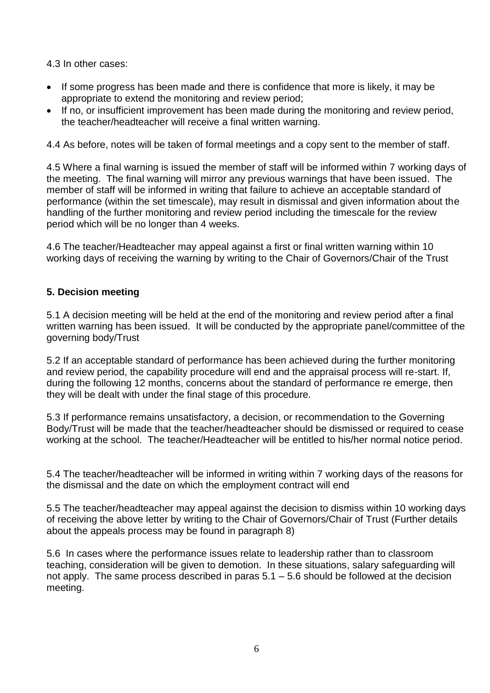4.3 In other cases:

- If some progress has been made and there is confidence that more is likely, it may be appropriate to extend the monitoring and review period;
- If no, or insufficient improvement has been made during the monitoring and review period, the teacher/headteacher will receive a final written warning.

4.4 As before, notes will be taken of formal meetings and a copy sent to the member of staff.

4.5 Where a final warning is issued the member of staff will be informed within 7 working days of the meeting. The final warning will mirror any previous warnings that have been issued. The member of staff will be informed in writing that failure to achieve an acceptable standard of performance (within the set timescale), may result in dismissal and given information about the handling of the further monitoring and review period including the timescale for the review period which will be no longer than 4 weeks.

4.6 The teacher/Headteacher may appeal against a first or final written warning within 10 working days of receiving the warning by writing to the Chair of Governors/Chair of the Trust

## **5. Decision meeting**

5.1 A decision meeting will be held at the end of the monitoring and review period after a final written warning has been issued. It will be conducted by the appropriate panel/committee of the governing body/Trust

5.2 If an acceptable standard of performance has been achieved during the further monitoring and review period, the capability procedure will end and the appraisal process will re-start. If, during the following 12 months, concerns about the standard of performance re emerge, then they will be dealt with under the final stage of this procedure.

5.3 If performance remains unsatisfactory, a decision, or recommendation to the Governing Body/Trust will be made that the teacher/headteacher should be dismissed or required to cease working at the school. The teacher/Headteacher will be entitled to his/her normal notice period.

5.4 The teacher/headteacher will be informed in writing within 7 working days of the reasons for the dismissal and the date on which the employment contract will end

5.5 The teacher/headteacher may appeal against the decision to dismiss within 10 working days of receiving the above letter by writing to the Chair of Governors/Chair of Trust (Further details about the appeals process may be found in paragraph 8)

5.6 In cases where the performance issues relate to leadership rather than to classroom teaching, consideration will be given to demotion. In these situations, salary safeguarding will not apply. The same process described in paras 5.1 – 5.6 should be followed at the decision meeting.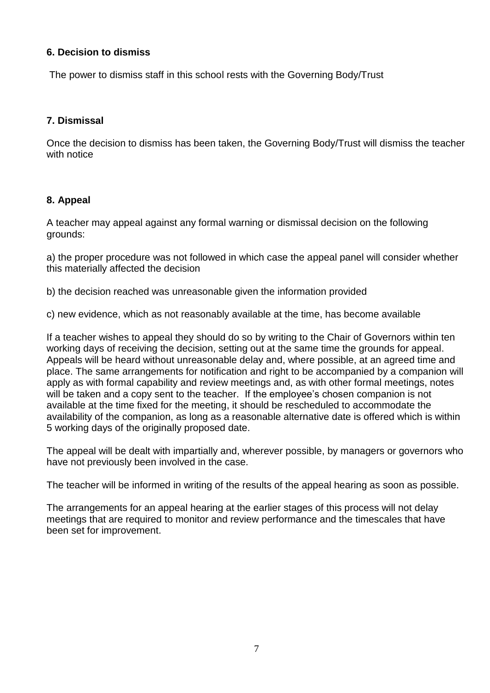### **6. Decision to dismiss**

The power to dismiss staff in this school rests with the Governing Body/Trust

## **7. Dismissal**

Once the decision to dismiss has been taken, the Governing Body/Trust will dismiss the teacher with notice

## **8. Appeal**

A teacher may appeal against any formal warning or dismissal decision on the following grounds:

a) the proper procedure was not followed in which case the appeal panel will consider whether this materially affected the decision

b) the decision reached was unreasonable given the information provided

c) new evidence, which as not reasonably available at the time, has become available

If a teacher wishes to appeal they should do so by writing to the Chair of Governors within ten working days of receiving the decision, setting out at the same time the grounds for appeal. Appeals will be heard without unreasonable delay and, where possible, at an agreed time and place. The same arrangements for notification and right to be accompanied by a companion will apply as with formal capability and review meetings and, as with other formal meetings, notes will be taken and a copy sent to the teacher. If the employee's chosen companion is not available at the time fixed for the meeting, it should be rescheduled to accommodate the availability of the companion, as long as a reasonable alternative date is offered which is within 5 working days of the originally proposed date.

The appeal will be dealt with impartially and, wherever possible, by managers or governors who have not previously been involved in the case.

The teacher will be informed in writing of the results of the appeal hearing as soon as possible.

The arrangements for an appeal hearing at the earlier stages of this process will not delay meetings that are required to monitor and review performance and the timescales that have been set for improvement.